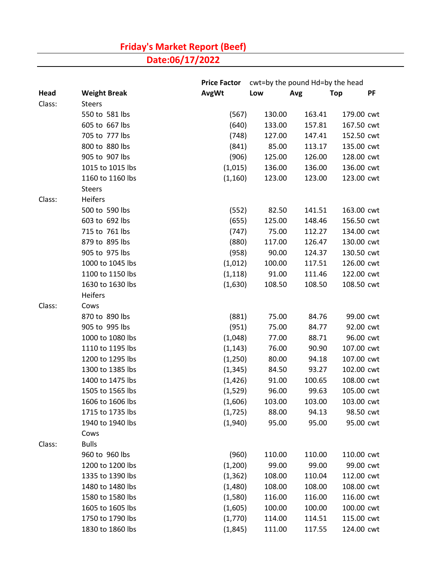## **Friday's Market Report (Beef)**

**Date:06/17/2022**

|        |                     | <b>Price Factor</b> | cwt=by the pound Hd=by the head |        |            |    |
|--------|---------------------|---------------------|---------------------------------|--------|------------|----|
| Head   | <b>Weight Break</b> | <b>AvgWt</b>        | Low                             | Avg    | <b>Top</b> | PF |
| Class: | <b>Steers</b>       |                     |                                 |        |            |    |
|        | 550 to 581 lbs      | (567)               | 130.00                          | 163.41 | 179.00 cwt |    |
|        | 605 to 667 lbs      | (640)               | 133.00                          | 157.81 | 167.50 cwt |    |
|        | 705 to 777 lbs      | (748)               | 127.00                          | 147.41 | 152.50 cwt |    |
|        | 800 to 880 lbs      | (841)               | 85.00                           | 113.17 | 135.00 cwt |    |
|        | 905 to 907 lbs      | (906)               | 125.00                          | 126.00 | 128.00 cwt |    |
|        | 1015 to 1015 lbs    | (1,015)             | 136.00                          | 136.00 | 136.00 cwt |    |
|        | 1160 to 1160 lbs    | (1, 160)            | 123.00                          | 123.00 | 123.00 cwt |    |
|        | <b>Steers</b>       |                     |                                 |        |            |    |
| Class: | Heifers             |                     |                                 |        |            |    |
|        | 500 to 590 lbs      | (552)               | 82.50                           | 141.51 | 163.00 cwt |    |
|        | 603 to 692 lbs      | (655)               | 125.00                          | 148.46 | 156.50 cwt |    |
|        | 715 to 761 lbs      | (747)               | 75.00                           | 112.27 | 134.00 cwt |    |
|        | 879 to 895 lbs      | (880)               | 117.00                          | 126.47 | 130.00 cwt |    |
|        | 905 to 975 lbs      | (958)               | 90.00                           | 124.37 | 130.50 cwt |    |
|        | 1000 to 1045 lbs    | (1,012)             | 100.00                          | 117.51 | 126.00 cwt |    |
|        | 1100 to 1150 lbs    | (1, 118)            | 91.00                           | 111.46 | 122.00 cwt |    |
|        | 1630 to 1630 lbs    | (1,630)             | 108.50                          | 108.50 | 108.50 cwt |    |
|        | Heifers             |                     |                                 |        |            |    |
| Class: | Cows                |                     |                                 |        |            |    |
|        | 870 to 890 lbs      | (881)               | 75.00                           | 84.76  | 99.00 cwt  |    |
|        | 905 to 995 lbs      | (951)               | 75.00                           | 84.77  | 92.00 cwt  |    |
|        | 1000 to 1080 lbs    | (1,048)             | 77.00                           | 88.71  | 96.00 cwt  |    |
|        | 1110 to 1195 lbs    | (1, 143)            | 76.00                           | 90.90  | 107.00 cwt |    |
|        | 1200 to 1295 lbs    | (1,250)             | 80.00                           | 94.18  | 107.00 cwt |    |
|        | 1300 to 1385 lbs    | (1, 345)            | 84.50                           | 93.27  | 102.00 cwt |    |
|        | 1400 to 1475 lbs    | (1, 426)            | 91.00                           | 100.65 | 108.00 cwt |    |
|        | 1505 to 1565 lbs    | (1,529)             | 96.00                           | 99.63  | 105.00 cwt |    |
|        | 1606 to 1606 lbs    | (1,606)             | 103.00                          | 103.00 | 103.00 cwt |    |
|        | 1715 to 1735 lbs    | (1, 725)            | 88.00                           | 94.13  | 98.50 cwt  |    |
|        | 1940 to 1940 lbs    | (1,940)             | 95.00                           | 95.00  | 95.00 cwt  |    |
|        | Cows                |                     |                                 |        |            |    |
| Class: | <b>Bulls</b>        |                     |                                 |        |            |    |
|        | 960 to 960 lbs      | (960)               | 110.00                          | 110.00 | 110.00 cwt |    |
|        | 1200 to 1200 lbs    | (1,200)             | 99.00                           | 99.00  | 99.00 cwt  |    |
|        | 1335 to 1390 lbs    | (1, 362)            | 108.00                          | 110.04 | 112.00 cwt |    |
|        | 1480 to 1480 lbs    | (1,480)             | 108.00                          | 108.00 | 108.00 cwt |    |
|        | 1580 to 1580 lbs    | (1,580)             | 116.00                          | 116.00 | 116.00 cwt |    |
|        | 1605 to 1605 lbs    | (1,605)             | 100.00                          | 100.00 | 100.00 cwt |    |
|        | 1750 to 1790 lbs    | (1,770)             | 114.00                          | 114.51 | 115.00 cwt |    |
|        | 1830 to 1860 lbs    | (1,845)             | 111.00                          | 117.55 | 124.00 cwt |    |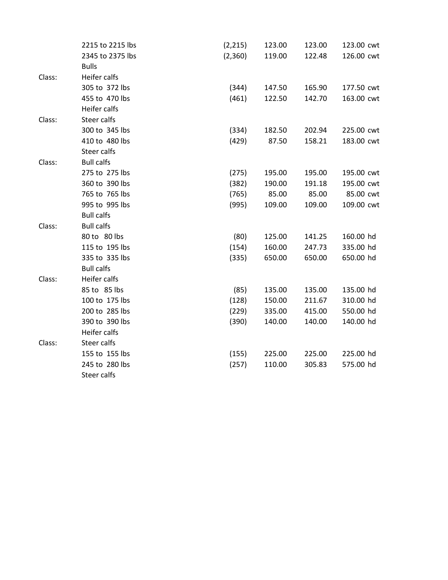|        | 2215 to 2215 lbs  | (2, 215) | 123.00 | 123.00 | 123.00 cwt |
|--------|-------------------|----------|--------|--------|------------|
|        | 2345 to 2375 lbs  | (2,360)  | 119.00 | 122.48 | 126.00 cwt |
|        | <b>Bulls</b>      |          |        |        |            |
| Class: | Heifer calfs      |          |        |        |            |
|        | 305 to 372 lbs    | (344)    | 147.50 | 165.90 | 177.50 cwt |
|        | 455 to 470 lbs    | (461)    | 122.50 | 142.70 | 163.00 cwt |
|        | Heifer calfs      |          |        |        |            |
| Class: | Steer calfs       |          |        |        |            |
|        | 300 to 345 lbs    | (334)    | 182.50 | 202.94 | 225.00 cwt |
|        | 410 to 480 lbs    | (429)    | 87.50  | 158.21 | 183.00 cwt |
|        | Steer calfs       |          |        |        |            |
| Class: | <b>Bull calfs</b> |          |        |        |            |
|        | 275 to 275 lbs    | (275)    | 195.00 | 195.00 | 195.00 cwt |
|        | 360 to 390 lbs    | (382)    | 190.00 | 191.18 | 195.00 cwt |
|        | 765 to 765 lbs    | (765)    | 85.00  | 85.00  | 85.00 cwt  |
|        | 995 to 995 lbs    | (995)    | 109.00 | 109.00 | 109.00 cwt |
|        | <b>Bull calfs</b> |          |        |        |            |
| Class: | <b>Bull calfs</b> |          |        |        |            |
|        | 80 to 80 lbs      | (80)     | 125.00 | 141.25 | 160.00 hd  |
|        | 115 to 195 lbs    | (154)    | 160.00 | 247.73 | 335.00 hd  |
|        | 335 to 335 lbs    | (335)    | 650.00 | 650.00 | 650.00 hd  |
|        | <b>Bull calfs</b> |          |        |        |            |
| Class: | Heifer calfs      |          |        |        |            |
|        | 85 to 85 lbs      | (85)     | 135.00 | 135.00 | 135.00 hd  |
|        | 100 to 175 lbs    | (128)    | 150.00 | 211.67 | 310.00 hd  |
|        | 200 to 285 lbs    | (229)    | 335.00 | 415.00 | 550.00 hd  |
|        | 390 to 390 lbs    | (390)    | 140.00 | 140.00 | 140.00 hd  |
|        | Heifer calfs      |          |        |        |            |
| Class: | Steer calfs       |          |        |        |            |
|        | 155 to 155 lbs    | (155)    | 225.00 | 225.00 | 225.00 hd  |
|        | 245 to 280 lbs    | (257)    | 110.00 | 305.83 | 575.00 hd  |
|        | Steer calfs       |          |        |        |            |